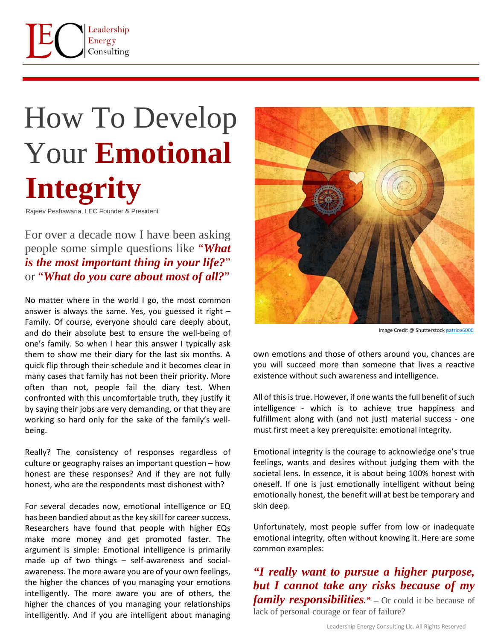

## How To Develop Your **Emotional Integrity**

Rajeev Peshawaria, LEC Founder & President

For over a decade now I have been asking people some simple questions like "*What is the most important thing in your life?*" or "*What do you care about most of all?*"

No matter where in the world I go, the most common answer is always the same. Yes, you guessed it right – Family. Of course, everyone should care deeply about, and do their absolute best to ensure the well-being of one's family. So when I hear this answer I typically ask them to show me their diary for the last six months. A quick flip through their schedule and it becomes clear in many cases that family has not been their priority. More often than not, people fail the diary test. When confronted with this uncomfortable truth, they justify it by saying their jobs are very demanding, or that they are working so hard only for the sake of the family's wellbeing.

Really? The consistency of responses regardless of culture or geography raises an important question – how honest are these responses? And if they are not fully honest, who are the respondents most dishonest with?

For several decades now, emotional intelligence or EQ has been bandied about as the key skill for career success. Researchers have found that people with higher EQs make more money and get promoted faster. The argument is simple: Emotional intelligence is primarily made up of two things – self-awareness and socialawareness. The more aware you are of your own feelings, the higher the chances of you managing your emotions intelligently. The more aware you are of others, the higher the chances of you managing your relationships intelligently. And if you are intelligent about managing



Image Credit @ Shutterstock [patrice6000](https://www.shutterstock.com/g/patrice6000)

own emotions and those of others around you, chances are you will succeed more than someone that lives a reactive existence without such awareness and intelligence.

All of this is true. However, if one wants the full benefit of such intelligence - which is to achieve true happiness and fulfillment along with (and not just) material success - one must first meet a key prerequisite: emotional integrity.

Emotional integrity is the courage to acknowledge one's true feelings, wants and desires without judging them with the societal lens. In essence, it is about being 100% honest with oneself. If one is just emotionally intelligent without being emotionally honest, the benefit will at best be temporary and skin deep.

Unfortunately, most people suffer from low or inadequate emotional integrity, often without knowing it. Here are some common examples:

*"I really want to pursue a higher purpose, but I cannot take any risks because of my family responsibilities."* – Or could it be because of lack of personal courage or fear of failure?